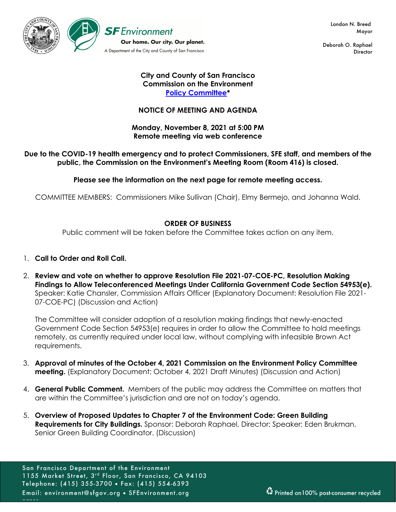

Deborah O. Raphael **Director** 

#### **City and County of San Francisco Commission on the Environment Policy Committee\***

## **NOTICE OF MEETING AND AGENDA**

#### **Monday, November 8, 2021 at 5:00 PM Remote meeting via web conference**

### **Due to the COVID-19 health emergency and to protect Commissioners, SFE staff, and members of the public, the Commission on the Environment's Meeting Room (Room 416) is closed.**

**Please see the information on the next page for remote meeting access.** 

COMMITTEE MEMBERS: Commissioners Mike Sullivan (Chair), Elmy Bermejo, and Johanna Wald.

### **ORDER OF BUSINESS**

Public comment will be taken before the Committee takes action on any item.

- 1. **Call to Order and Roll Call.**
- 2. **Review and vote on whether to approve Resolution File 2021-07-COE-PC, Resolution Making Findings to Allow Teleconferenced Meetings Under California Government Code Section 54953(e).** Speaker: Katie Chansler, Commission Affairs Officer (Explanatory Document: Resolution File 2021- 07-COE-PC) (Discussion and Action)

The Committee will consider adoption of a resolution making findings that newly-enacted Government Code Section 54953(e) requires in order to allow the Committee to hold meetings remotely, as currently required under local law, without complying with infeasible Brown Act requirements.

- 3. **Approval of minutes of the October 4, 2021 Commission on the Environment Policy Committee meeting.** (Explanatory Document: October 4, 2021 Draft Minutes) (Discussion and Action)
- 4. **General Public Comment.** Members of the public may address the Committee on matters that are within the Committee's jurisdiction and are not on today's agenda.
- 5. **Overview of Proposed Updates to Chapter 7 of the Environment Code: Green Building Requirements for City Buildings.** Sponsor: Deborah Raphael, Director; Speaker: Eden Brukman, Senior Green Building Coordinator. (Discussion)

paper.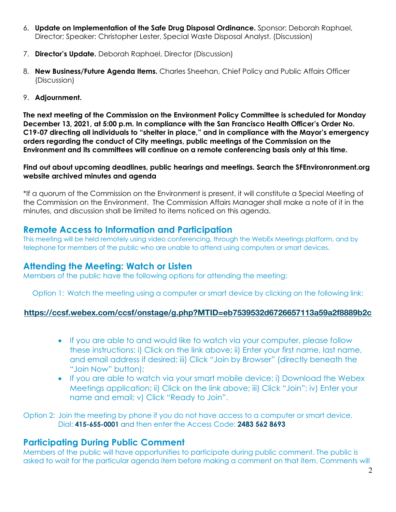- 6. **Update on Implementation of the Safe Drug Disposal Ordinance.** Sponsor: Deborah Raphael, Director; Speaker: Christopher Lester, Special Waste Disposal Analyst. (Discussion)
- 7. **Director's Update.** Deborah Raphael, Director (Discussion)
- 8. **New Business/Future Agenda Items.** Charles Sheehan, Chief Policy and Public Affairs Officer (Discussion)
- 9. **Adjournment.**

**The next meeting of the Commission on the Environment Policy Committee is scheduled for Monday December 13, 2021, at 5:00 p.m. In compliance with the San Francisco Health Officer's Order No. C19-07 directing all individuals to "shelter in place," and in compliance with the Mayor's emergency orders regarding the conduct of City meetings, public meetings of the Commission on the Environment and its committees will continue on a remote conferencing basis only at this time.**

**Find out about upcoming deadlines, public hearings and meetings. Search the SFEnvironronment.org website archived minutes and agenda**

\*If a quorum of the Commission on the Environment is present, it will constitute a Special Meeting of the Commission on the Environment. The Commission Affairs Manager shall make a note of it in the minutes, and discussion shall be limited to items noticed on this agenda.

# **Remote Access to Information and Participation**

This meeting will be held remotely using video conferencing, through the WebEx Meetings platform, and by telephone for members of the public who are unable to attend using computers or smart devices.

# **Attending the Meeting: Watch or Listen**

Members of the public have the following options for attending the meeting:

Option 1: Watch the meeting using a computer or smart device by clicking on the following link:

## **https://ccsf.webex.com/ccsf/onstage/g.php?MTID=eb7539532d6726657113a59a2f8889b2c**

- If you are able to and would like to watch via your computer, please follow these instructions: i) Click on the link above; ii) Enter your first name, last name, and email address if desired; iii) Click "Join by Browser" (directly beneath the "Join Now" button);
- If you are able to watch via your smart mobile device: i) Download the Webex Meetings application; ii) Click on the link above; iii) Click "Join"; iv) Enter your name and email; v) Click "Ready to Join".

Option 2: Join the meeting by phone if you do not have access to a computer or smart device. Dial: **415-655-0001** and then enter the Access Code: **2483 562 8693**

# **Participating During Public Comment**

Members of the public will have opportunities to participate during public comment. The public is asked to wait for the particular agenda item before making a comment on that item. Comments will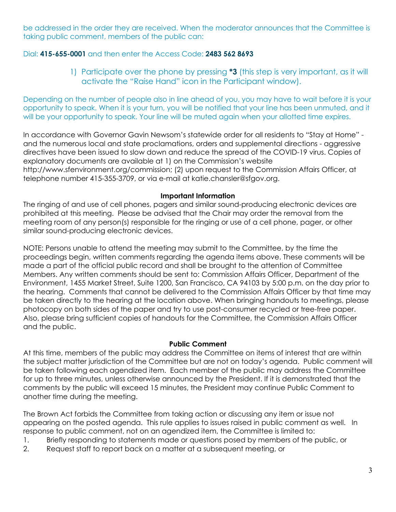be addressed in the order they are received. When the moderator announces that the Committee is taking public comment, members of the public can:

## Dial: **415-655-0001** and then enter the Access Code: **2483 562 8693**

1) Participate over the phone by pressing **\*3** (this step is very important, as it will activate the "Raise Hand" icon in the Participant window).

Depending on the number of people also in line ahead of you, you may have to wait before it is your opportunity to speak. When it is your turn, you will be notified that your line has been unmuted, and it will be your opportunity to speak. Your line will be muted again when your allotted time expires.

In accordance with Governor Gavin Newsom's statewide order for all residents to "Stay at Home" and the numerous local and state proclamations, orders and supplemental directions - aggressive directives have been issued to slow down and reduce the spread of the COVID-19 virus. Copies of explanatory documents are available at 1) on the Commission's website http://www.sfenvironment.org/commission; (2) upon request to the Commission Affairs Officer, at telephone number 415-355-3709, or via e-mail at katie.chansler@sfgov.org.

### **Important Information**

The ringing of and use of cell phones, pagers and similar sound-producing electronic devices are prohibited at this meeting. Please be advised that the Chair may order the removal from the meeting room of any person(s) responsible for the ringing or use of a cell phone, pager, or other similar sound-producing electronic devices.

NOTE: Persons unable to attend the meeting may submit to the Committee, by the time the proceedings begin, written comments regarding the agenda items above. These comments will be made a part of the official public record and shall be brought to the attention of Committee Members. Any written comments should be sent to: Commission Affairs Officer, Department of the Environment, 1455 Market Street, Suite 1200, San Francisco, CA 94103 by 5:00 p.m. on the day prior to the hearing. Comments that cannot be delivered to the Commission Affairs Officer by that time may be taken directly to the hearing at the location above. When bringing handouts to meetings, please photocopy on both sides of the paper and try to use post-consumer recycled or tree-free paper. Also, please bring sufficient copies of handouts for the Committee, the Commission Affairs Officer and the public.

#### **Public Comment**

At this time, members of the public may address the Committee on items of interest that are within the subject matter jurisdiction of the Committee but are not on today's agenda. Public comment will be taken following each agendized item. Each member of the public may address the Committee for up to three minutes, unless otherwise announced by the President. If it is demonstrated that the comments by the public will exceed 15 minutes, the President may continue Public Comment to another time during the meeting.

The Brown Act forbids the Committee from taking action or discussing any item or issue not appearing on the posted agenda. This rule applies to issues raised in public comment as well. In response to public comment, not on an agendized item, the Committee is limited to:

- 1. Briefly responding to statements made or questions posed by members of the public, or
- 2. Request staff to report back on a matter at a subsequent meeting, or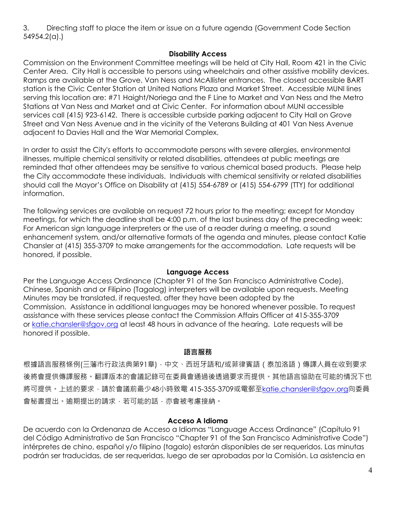3. Directing staff to place the item or issue on a future agenda (Government Code Section 54954.2(a).)

#### **Disability Access**

Commission on the Environment Committee meetings will be held at City Hall, Room 421 in the Civic Center Area. City Hall is accessible to persons using wheelchairs and other assistive mobility devices. Ramps are available at the Grove, Van Ness and McAllister entrances. The closest accessible BART station is the Civic Center Station at United Nations Plaza and Market Street. Accessible MUNI lines serving this location are: #71 Haight/Noriega and the F Line to Market and Van Ness and the Metro Stations at Van Ness and Market and at Civic Center. For information about MUNI accessible services call (415) 923-6142. There is accessible curbside parking adjacent to City Hall on Grove Street and Van Ness Avenue and in the vicinity of the Veterans Building at 401 Van Ness Avenue adjacent to Davies Hall and the War Memorial Complex.

In order to assist the City's efforts to accommodate persons with severe allergies, environmental illnesses, multiple chemical sensitivity or related disabilities, attendees at public meetings are reminded that other attendees may be sensitive to various chemical based products. Please help the City accommodate these individuals. Individuals with chemical sensitivity or related disabilities should call the Mayor's Office on Disability at (415) 554-6789 or (415) 554-6799 (TTY) for additional information.

The following services are available on request 72 hours prior to the meeting; except for Monday meetings, for which the deadline shall be 4:00 p.m. of the last business day of the preceding week: For American sign language interpreters or the use of a reader during a meeting, a sound enhancement system, and/or alternative formats of the agenda and minutes, please contact Katie Chansler at (415) 355-3709 to make arrangements for the accommodation. Late requests will be honored, if possible.

#### **Language Access**

Per the Language Access Ordinance (Chapter 91 of the San Francisco Administrative Code), Chinese, Spanish and or Filipino (Tagalog) interpreters will be available upon requests. Meeting Minutes may be translated, if requested, after they have been adopted by the Commission. Assistance in additional languages may be honored whenever possible. To request assistance with these services please contact the Commission Affairs Officer at 415-355-3709 or katie.chansler@sfgov.org at least 48 hours in advance of the hearing. Late requests will be honored if possible.

### **語言服務**

根據語言服務條例(三藩市行政法典第91章),中文、西班牙語和/或菲律賓語 (泰加洛語)傳譯人員在收到要求 後將會提供傳譯服務。翻譯版本的會議記錄可在委員會通過後透過要求而提供。其他語言協助在可能的情況下也 將可提供。上述的要求,請於會議前最少48小時致電 415-355-3709或電郵至katie.chansler@sfaov.org向委員 會秘書提出。逾期提出的請求,若可能的話,亦會被考慮接納。

### **Acceso A Idioma**

De acuerdo con la Ordenanza de Acceso a Idiomas "Language Access Ordinance" (Capítulo 91 del Código Administrativo de San Francisco "Chapter 91 of the San Francisco Administrative Code") intérpretes de chino, español y/o filipino (tagalo) estarán disponibles de ser requeridos. Las minutas podrán ser traducidas, de ser requeridas, luego de ser aprobadas por la Comisión. La asistencia en